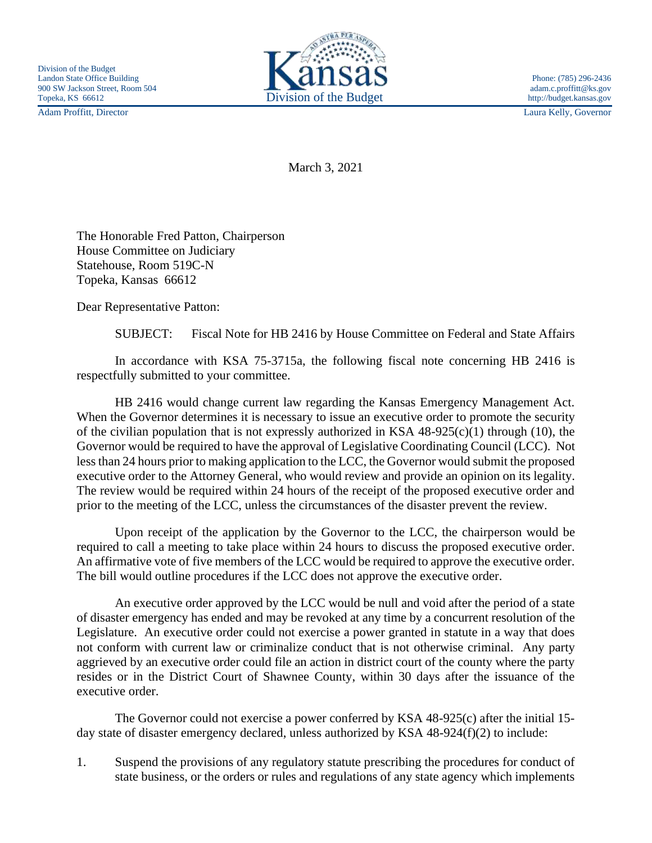Adam Proffitt, Director Laura Kelly, Governor



March 3, 2021

The Honorable Fred Patton, Chairperson House Committee on Judiciary Statehouse, Room 519C-N Topeka, Kansas 66612

Dear Representative Patton:

SUBJECT: Fiscal Note for HB 2416 by House Committee on Federal and State Affairs

In accordance with KSA 75-3715a, the following fiscal note concerning HB 2416 is respectfully submitted to your committee.

HB 2416 would change current law regarding the Kansas Emergency Management Act. When the Governor determines it is necessary to issue an executive order to promote the security of the civilian population that is not expressly authorized in KSA  $48-925(c)(1)$  through (10), the Governor would be required to have the approval of Legislative Coordinating Council (LCC). Not less than 24 hours prior to making application to the LCC, the Governor would submit the proposed executive order to the Attorney General, who would review and provide an opinion on its legality. The review would be required within 24 hours of the receipt of the proposed executive order and prior to the meeting of the LCC, unless the circumstances of the disaster prevent the review.

Upon receipt of the application by the Governor to the LCC, the chairperson would be required to call a meeting to take place within 24 hours to discuss the proposed executive order. An affirmative vote of five members of the LCC would be required to approve the executive order. The bill would outline procedures if the LCC does not approve the executive order.

An executive order approved by the LCC would be null and void after the period of a state of disaster emergency has ended and may be revoked at any time by a concurrent resolution of the Legislature. An executive order could not exercise a power granted in statute in a way that does not conform with current law or criminalize conduct that is not otherwise criminal. Any party aggrieved by an executive order could file an action in district court of the county where the party resides or in the District Court of Shawnee County, within 30 days after the issuance of the executive order.

The Governor could not exercise a power conferred by KSA 48-925(c) after the initial 15 day state of disaster emergency declared, unless authorized by KSA 48-924(f)(2) to include:

1. Suspend the provisions of any regulatory statute prescribing the procedures for conduct of state business, or the orders or rules and regulations of any state agency which implements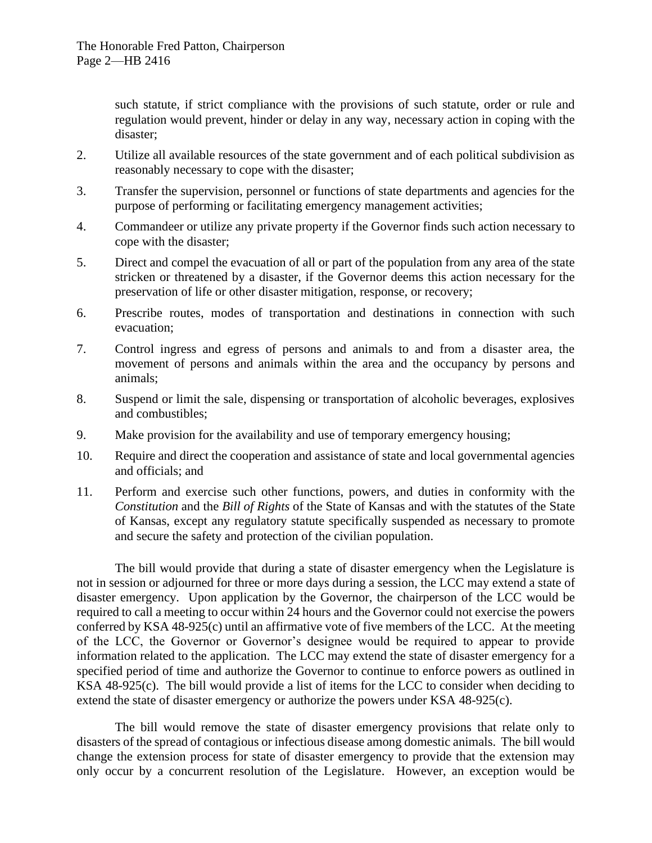such statute, if strict compliance with the provisions of such statute, order or rule and regulation would prevent, hinder or delay in any way, necessary action in coping with the disaster;

- 2. Utilize all available resources of the state government and of each political subdivision as reasonably necessary to cope with the disaster;
- 3. Transfer the supervision, personnel or functions of state departments and agencies for the purpose of performing or facilitating emergency management activities;
- 4. Commandeer or utilize any private property if the Governor finds such action necessary to cope with the disaster;
- 5. Direct and compel the evacuation of all or part of the population from any area of the state stricken or threatened by a disaster, if the Governor deems this action necessary for the preservation of life or other disaster mitigation, response, or recovery;
- 6. Prescribe routes, modes of transportation and destinations in connection with such evacuation;
- 7. Control ingress and egress of persons and animals to and from a disaster area, the movement of persons and animals within the area and the occupancy by persons and animals;
- 8. Suspend or limit the sale, dispensing or transportation of alcoholic beverages, explosives and combustibles;
- 9. Make provision for the availability and use of temporary emergency housing;
- 10. Require and direct the cooperation and assistance of state and local governmental agencies and officials; and
- 11. Perform and exercise such other functions, powers, and duties in conformity with the *Constitution* and the *Bill of Rights* of the State of Kansas and with the statutes of the State of Kansas, except any regulatory statute specifically suspended as necessary to promote and secure the safety and protection of the civilian population.

The bill would provide that during a state of disaster emergency when the Legislature is not in session or adjourned for three or more days during a session, the LCC may extend a state of disaster emergency. Upon application by the Governor, the chairperson of the LCC would be required to call a meeting to occur within 24 hours and the Governor could not exercise the powers conferred by KSA 48-925(c) until an affirmative vote of five members of the LCC. At the meeting of the LCC, the Governor or Governor's designee would be required to appear to provide information related to the application. The LCC may extend the state of disaster emergency for a specified period of time and authorize the Governor to continue to enforce powers as outlined in KSA 48-925(c). The bill would provide a list of items for the LCC to consider when deciding to extend the state of disaster emergency or authorize the powers under KSA 48-925(c).

The bill would remove the state of disaster emergency provisions that relate only to disasters of the spread of contagious or infectious disease among domestic animals. The bill would change the extension process for state of disaster emergency to provide that the extension may only occur by a concurrent resolution of the Legislature. However, an exception would be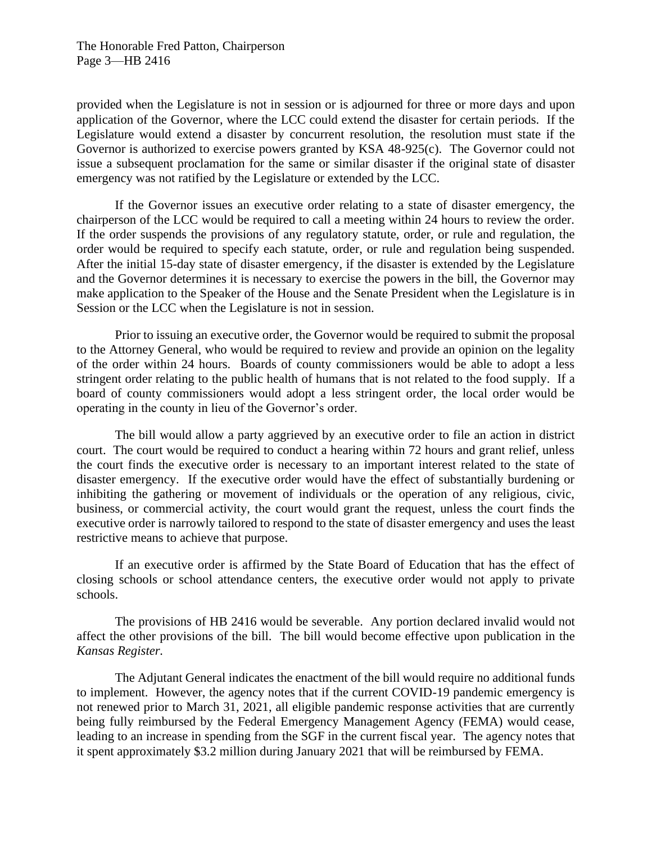provided when the Legislature is not in session or is adjourned for three or more days and upon application of the Governor, where the LCC could extend the disaster for certain periods. If the Legislature would extend a disaster by concurrent resolution, the resolution must state if the Governor is authorized to exercise powers granted by KSA 48-925(c). The Governor could not issue a subsequent proclamation for the same or similar disaster if the original state of disaster emergency was not ratified by the Legislature or extended by the LCC.

If the Governor issues an executive order relating to a state of disaster emergency, the chairperson of the LCC would be required to call a meeting within 24 hours to review the order. If the order suspends the provisions of any regulatory statute, order, or rule and regulation, the order would be required to specify each statute, order, or rule and regulation being suspended. After the initial 15-day state of disaster emergency, if the disaster is extended by the Legislature and the Governor determines it is necessary to exercise the powers in the bill, the Governor may make application to the Speaker of the House and the Senate President when the Legislature is in Session or the LCC when the Legislature is not in session.

Prior to issuing an executive order, the Governor would be required to submit the proposal to the Attorney General, who would be required to review and provide an opinion on the legality of the order within 24 hours. Boards of county commissioners would be able to adopt a less stringent order relating to the public health of humans that is not related to the food supply. If a board of county commissioners would adopt a less stringent order, the local order would be operating in the county in lieu of the Governor's order.

The bill would allow a party aggrieved by an executive order to file an action in district court. The court would be required to conduct a hearing within 72 hours and grant relief, unless the court finds the executive order is necessary to an important interest related to the state of disaster emergency. If the executive order would have the effect of substantially burdening or inhibiting the gathering or movement of individuals or the operation of any religious, civic, business, or commercial activity, the court would grant the request, unless the court finds the executive order is narrowly tailored to respond to the state of disaster emergency and uses the least restrictive means to achieve that purpose.

If an executive order is affirmed by the State Board of Education that has the effect of closing schools or school attendance centers, the executive order would not apply to private schools.

The provisions of HB 2416 would be severable. Any portion declared invalid would not affect the other provisions of the bill. The bill would become effective upon publication in the *Kansas Register.*

The Adjutant General indicates the enactment of the bill would require no additional funds to implement. However, the agency notes that if the current COVID-19 pandemic emergency is not renewed prior to March 31, 2021, all eligible pandemic response activities that are currently being fully reimbursed by the Federal Emergency Management Agency (FEMA) would cease, leading to an increase in spending from the SGF in the current fiscal year. The agency notes that it spent approximately \$3.2 million during January 2021 that will be reimbursed by FEMA.